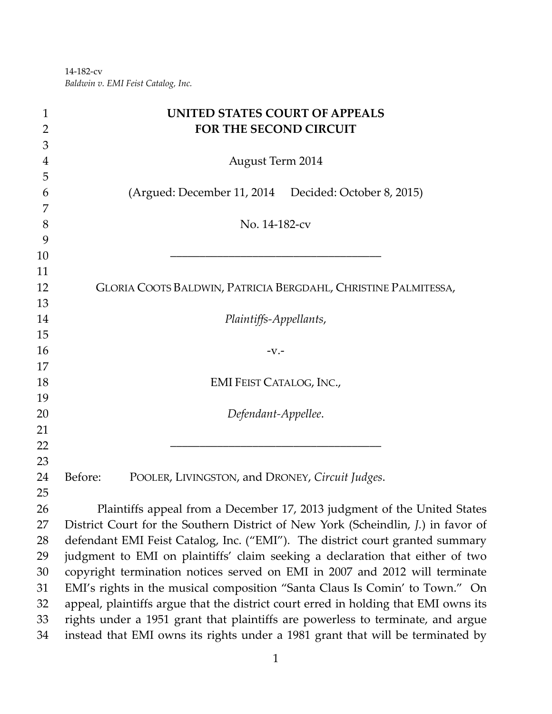‐182‐cv *Baldwin v. EMI Feist Catalog, Inc.*

| $\mathbf{1}$   | <b>UNITED STATES COURT OF APPEALS</b>                                               |
|----------------|-------------------------------------------------------------------------------------|
| $\overline{2}$ | FOR THE SECOND CIRCUIT                                                              |
| 3              |                                                                                     |
| 4              | <b>August Term 2014</b>                                                             |
| 5              |                                                                                     |
| 6              | (Argued: December 11, 2014 Decided: October 8, 2015)                                |
| 7              |                                                                                     |
| 8              | No. 14-182-cv                                                                       |
| 9              |                                                                                     |
| 10             |                                                                                     |
| 11             |                                                                                     |
| 12             | GLORIA COOTS BALDWIN, PATRICIA BERGDAHL, CHRISTINE PALMITESSA,                      |
| 13             |                                                                                     |
| 14             | Plaintiffs-Appellants,                                                              |
| 15             |                                                                                     |
| 16             | $-V.$                                                                               |
| 17<br>18       |                                                                                     |
| 19             | <b>EMI FEIST CATALOG, INC.,</b>                                                     |
| 20             | Defendant-Appellee.                                                                 |
| 21             |                                                                                     |
| 22             |                                                                                     |
| 23             |                                                                                     |
| 24             | Before:<br>POOLER, LIVINGSTON, and DRONEY, Circuit Judges.                          |
| 25             |                                                                                     |
| 26             | Plaintiffs appeal from a December 17, 2013 judgment of the United States            |
| 27             | District Court for the Southern District of New York (Scheindlin, J.) in favor of   |
| 28             | defendant EMI Feist Catalog, Inc. ("EMI"). The district court granted summary       |
| 29             | judgment to EMI on plaintiffs' claim seeking a declaration that either of two       |
| 30             | copyright termination notices served on EMI in 2007 and 2012 will terminate         |
| 31             | EMI's rights in the musical composition "Santa Claus Is Comin' to Town." On         |
| 32             | appeal, plaintiffs argue that the district court erred in holding that EMI owns its |
| 33             | rights under a 1951 grant that plaintiffs are powerless to terminate, and argue     |
| 34             | instead that EMI owns its rights under a 1981 grant that will be terminated by      |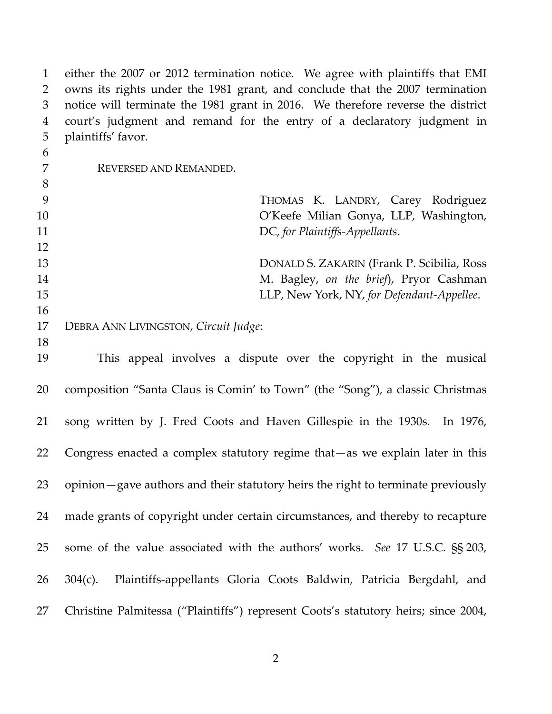either the 2007 or 2012 termination notice. We agree with plaintiffs that EMI owns its rights under the 1981 grant, and conclude that the 2007 termination notice will terminate the 1981 grant in 2016. We therefore reverse the district court's judgment and remand for the entry of a declaratory judgment in plaintiffs' favor. REVERSED AND REMANDED. THOMAS K. LANDRY, Carey Rodriguez O'Keefe Milian Gonya, LLP, Washington, DC, *for Plaintiffs‐Appellants*. DONALD S. ZAKARIN (Frank P. Scibilia, Ross M. Bagley, *on the brief*), Pryor Cashman LLP, New York, NY, *for Defendant‐Appellee*. DEBRA ANN LIVINGSTON, *Circuit Judge*: This appeal involves a dispute over the copyright in the musical composition "Santa Claus is Comin' to Town" (the "Song"), a classic Christmas 21 song written by J. Fred Coots and Haven Gillespie in the 1930s. In 1976, Congress enacted a complex statutory regime that—as we explain later in this opinion—gave authors and their statutory heirs the right to terminate previously made grants of copyright under certain circumstances, and thereby to recapture some of the value associated with the authors' works. *See* 17 U.S.C. §§ 203, 26 304(c). Plaintiffs-appellants Gloria Coots Baldwin, Patricia Bergdahl, and Christine Palmitessa ("Plaintiffs") represent Coots's statutory heirs; since 2004,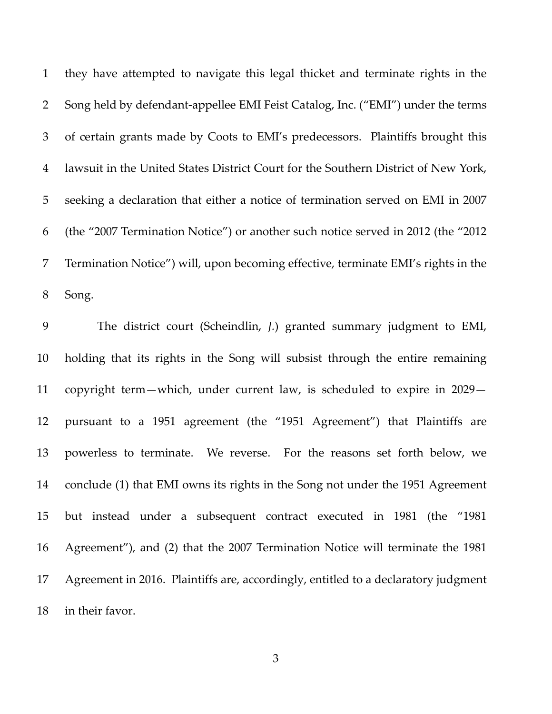they have attempted to navigate this legal thicket and terminate rights in the 2 Song held by defendant-appellee EMI Feist Catalog, Inc. ("EMI") under the terms of certain grants made by Coots to EMI's predecessors. Plaintiffs brought this lawsuit in the United States District Court for the Southern District of New York, seeking a declaration that either a notice of termination served on EMI in 2007 (the "2007 Termination Notice") or another such notice served in 2012 (the "2012 Termination Notice") will, upon becoming effective, terminate EMI's rights in the Song.

 The district court (Scheindlin, *J.*) granted summary judgment to EMI, holding that its rights in the Song will subsist through the entire remaining copyright term—which, under current law, is scheduled to expire in 2029— pursuant to a 1951 agreement (the "1951 Agreement") that Plaintiffs are powerless to terminate. We reverse. For the reasons set forth below, we conclude (1) that EMI owns its rights in the Song not under the 1951 Agreement but instead under a subsequent contract executed in 1981 (the "1981 Agreement"), and (2) that the 2007 Termination Notice will terminate the 1981 Agreement in 2016. Plaintiffs are, accordingly, entitled to a declaratory judgment in their favor.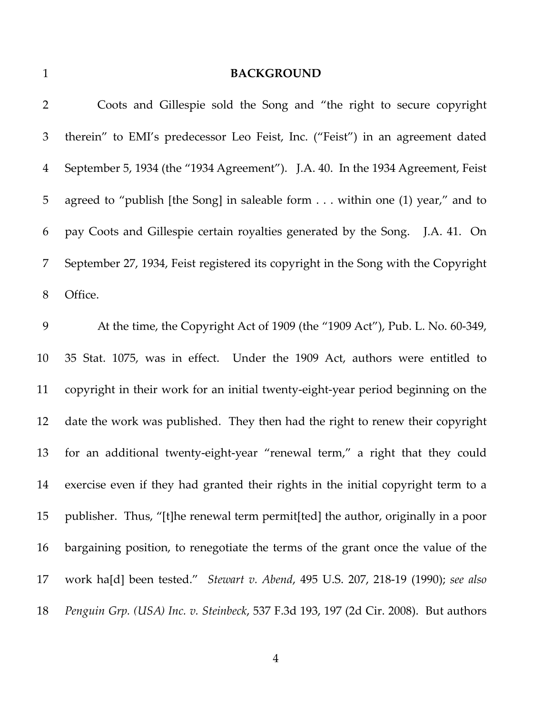## **BACKGROUND**

| $\overline{2}$ | Coots and Gillespie sold the Song and "the right to secure copyright                |
|----------------|-------------------------------------------------------------------------------------|
| 3              | therein" to EMI's predecessor Leo Feist, Inc. ("Feist") in an agreement dated       |
| $\overline{4}$ | September 5, 1934 (the "1934 Agreement"). J.A. 40. In the 1934 Agreement, Feist     |
| 5              | agreed to "publish [the Song] in saleable form within one (1) year," and to         |
| 6              | pay Coots and Gillespie certain royalties generated by the Song. J.A. 41. On        |
| 7              | September 27, 1934, Feist registered its copyright in the Song with the Copyright   |
| 8              | Office.                                                                             |
| 9              | At the time, the Copyright Act of 1909 (the "1909 Act"), Pub. L. No. 60-349,        |
| 10             | 35 Stat. 1075, was in effect. Under the 1909 Act, authors were entitled to          |
| 11             | copyright in their work for an initial twenty-eight-year period beginning on the    |
| 12             | date the work was published. They then had the right to renew their copyright       |
| 13             | for an additional twenty-eight-year "renewal term," a right that they could         |
| 14             | exercise even if they had granted their rights in the initial copyright term to a   |
| 15             | publisher. Thus, "[t]he renewal term permit[ted] the author, originally in a poor   |
| 16             | bargaining position, to renegotiate the terms of the grant once the value of the    |
| 17             | work ha[d] been tested." Stewart v. Abend, 495 U.S. 207, 218-19 (1990); see also    |
| 18             | Penguin Grp. (USA) Inc. v. Steinbeck, 537 F.3d 193, 197 (2d Cir. 2008). But authors |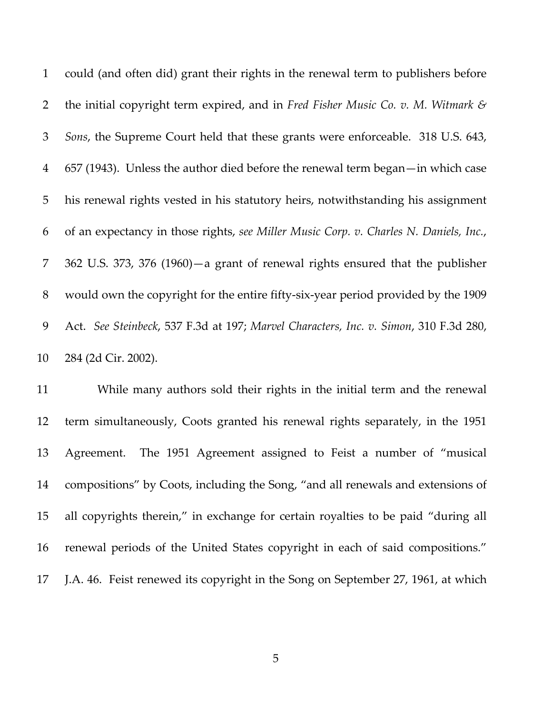could (and often did) grant their rights in the renewal term to publishers before the initial copyright term expired, and in *Fred Fisher Music Co. v. M. Witmark & Sons*, the Supreme Court held that these grants were enforceable. 318 U.S. 643, 657 (1943). Unless the author died before the renewal term began—in which case his renewal rights vested in his statutory heirs, notwithstanding his assignment of an expectancy in those rights, *see Miller Music Corp. v. Charles N. Daniels, Inc.*, 362 U.S. 373, 376 (1960)—a grant of renewal rights ensured that the publisher 8 would own the copyright for the entire fifty-six-year period provided by the 1909 Act. *See Steinbeck*, 537 F.3d at 197; *Marvel Characters, Inc. v. Simon*, 310 F.3d 280, 284 (2d Cir. 2002).

 While many authors sold their rights in the initial term and the renewal term simultaneously, Coots granted his renewal rights separately, in the 1951 Agreement. The 1951 Agreement assigned to Feist a number of "musical compositions" by Coots, including the Song, "and all renewals and extensions of all copyrights therein," in exchange for certain royalties to be paid "during all renewal periods of the United States copyright in each of said compositions." J.A. 46. Feist renewed its copyright in the Song on September 27, 1961, at which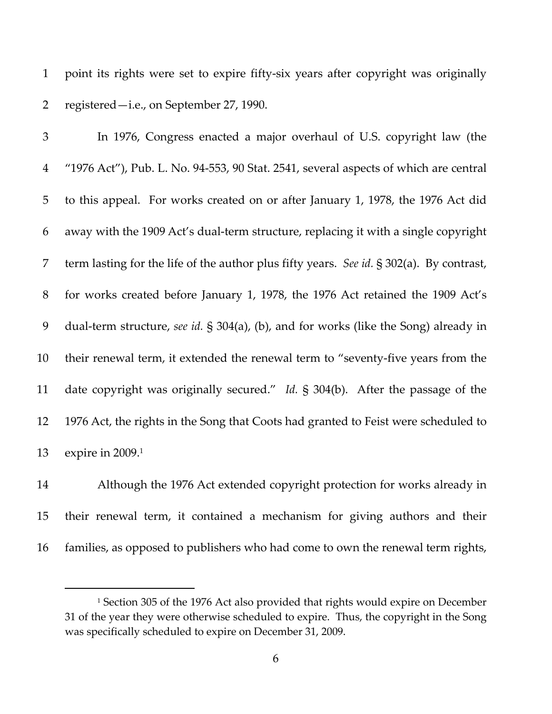point its rights were set to expire fifty‐six years after copyright was originally registered—i.e., on September 27, 1990.

 In 1976, Congress enacted a major overhaul of U.S. copyright law (the "1976 Act"), Pub. L. No. 94‐553, 90 Stat. 2541, several aspects of which are central to this appeal. For works created on or after January 1, 1978, the 1976 Act did away with the 1909 Act's dual‐term structure, replacing it with a single copyright term lasting for the life of the author plus fifty years. *See id.* § 302(a). By contrast, for works created before January 1, 1978, the 1976 Act retained the 1909 Act's dual‐term structure, *see id.* § 304(a), (b), and for works (like the Song) already in 10 their renewal term, it extended the renewal term to "seventy-five years from the date copyright was originally secured." *Id.* § 304(b). After the passage of the 1976 Act, the rights in the Song that Coots had granted to Feist were scheduled to 13 expire in 2009.<sup>1</sup>

 Although the 1976 Act extended copyright protection for works already in their renewal term, it contained a mechanism for giving authors and their families, as opposed to publishers who had come to own the renewal term rights,

<sup>&</sup>lt;sup>1</sup> Section 305 of the 1976 Act also provided that rights would expire on December of the year they were otherwise scheduled to expire. Thus, the copyright in the Song was specifically scheduled to expire on December 31, 2009.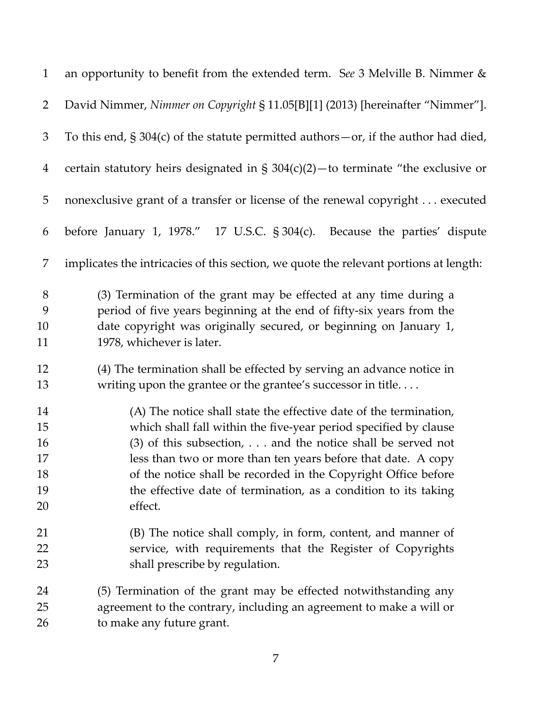| $\mathbf{1}$                           | an opportunity to benefit from the extended term. See 3 Melville B. Nimmer &                                                                                                                                                                                                                                                                                                                                            |
|----------------------------------------|-------------------------------------------------------------------------------------------------------------------------------------------------------------------------------------------------------------------------------------------------------------------------------------------------------------------------------------------------------------------------------------------------------------------------|
| $\overline{2}$                         | David Nimmer, Nimmer on Copyright § 11.05[B][1] (2013) [hereinafter "Nimmer"].                                                                                                                                                                                                                                                                                                                                          |
| $\mathfrak{Z}$                         | To this end, $\S 304(c)$ of the statute permitted authors - or, if the author had died,                                                                                                                                                                                                                                                                                                                                 |
| $\overline{4}$                         | certain statutory heirs designated in $\S 304(c)(2)$ - to terminate "the exclusive or                                                                                                                                                                                                                                                                                                                                   |
| 5                                      | nonexclusive grant of a transfer or license of the renewal copyright executed                                                                                                                                                                                                                                                                                                                                           |
| 6                                      | before January 1, 1978." 17 U.S.C. § 304(c).<br>Because the parties' dispute                                                                                                                                                                                                                                                                                                                                            |
| 7                                      | implicates the intricacies of this section, we quote the relevant portions at length:                                                                                                                                                                                                                                                                                                                                   |
| $8\,$<br>9<br>10<br>11                 | (3) Termination of the grant may be effected at any time during a<br>period of five years beginning at the end of fifty-six years from the<br>date copyright was originally secured, or beginning on January 1,<br>1978, whichever is later.                                                                                                                                                                            |
| 12<br>13                               | (4) The termination shall be effected by serving an advance notice in<br>writing upon the grantee or the grantee's successor in title                                                                                                                                                                                                                                                                                   |
| 14<br>15<br>16<br>17<br>18<br>19<br>20 | (A) The notice shall state the effective date of the termination,<br>which shall fall within the five-year period specified by clause<br>$(3)$ of this subsection,  and the notice shall be served not<br>less than two or more than ten years before that date. A copy<br>of the notice shall be recorded in the Copyright Office before<br>the effective date of termination, as a condition to its taking<br>effect. |
| 21<br>22<br>23                         | (B) The notice shall comply, in form, content, and manner of<br>service, with requirements that the Register of Copyrights<br>shall prescribe by regulation.                                                                                                                                                                                                                                                            |
| 24<br>25<br>26                         | (5) Termination of the grant may be effected notwithstanding any<br>agreement to the contrary, including an agreement to make a will or<br>to make any future grant.                                                                                                                                                                                                                                                    |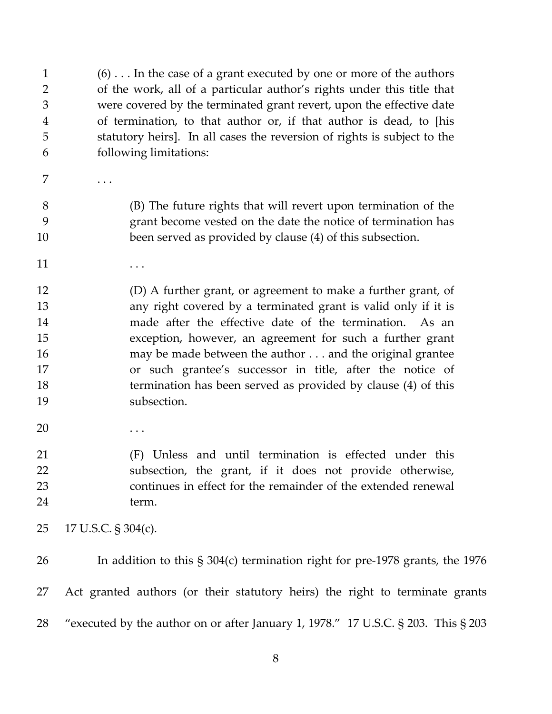(6) . . . In the case of a grant executed by one or more of the authors of the work, all of a particular author's rights under this title that were covered by the terminated grant revert, upon the effective date of termination, to that author or, if that author is dead, to [his statutory heirs]. In all cases the reversion of rights is subject to the following limitations:

7 . . . .

 (B) The future rights that will revert upon termination of the grant become vested on the date the notice of termination has been served as provided by clause (4) of this subsection.

- $11 \quad \ldots$
- (D) A further grant, or agreement to make a further grant, of any right covered by a terminated grant is valid only if it is 14 made after the effective date of the termination. As an exception, however, an agreement for such a further grant may be made between the author . . . and the original grantee or such grantee's successor in title, after the notice of termination has been served as provided by clause (4) of this subsection.
- $\dots$

 (F) Unless and until termination is effected under this subsection, the grant, if it does not provide otherwise, continues in effect for the remainder of the extended renewal term.

- 17 U.S.C. § 304(c).
- 26 In addition to this § 304(c) termination right for pre-1978 grants, the 1976 Act granted authors (or their statutory heirs) the right to terminate grants "executed by the author on or after January 1, 1978." 17 U.S.C. § 203. This § 203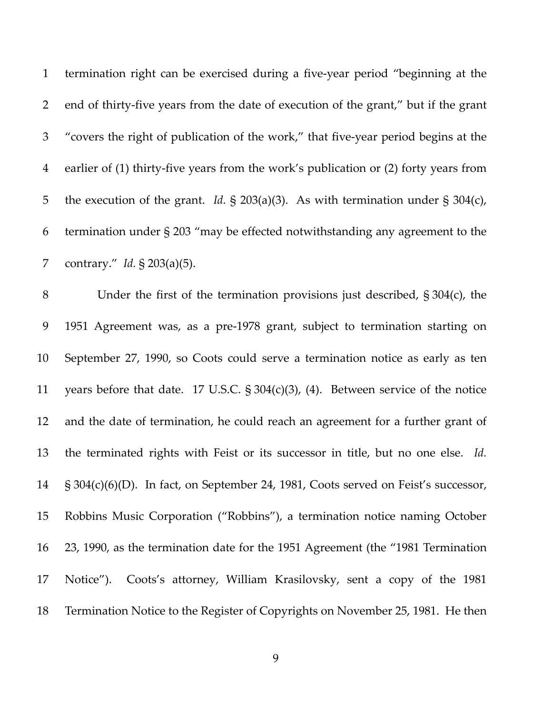termination right can be exercised during a five‐year period "beginning at the end of thirty‐five years from the date of execution of the grant," but if the grant "covers the right of publication of the work," that five‐year period begins at the earlier of (1) thirty‐five years from the work's publication or (2) forty years from the execution of the grant. *Id.* § 203(a)(3). As with termination under § 304(c), termination under § 203 "may be effected notwithstanding any agreement to the contrary." *Id.* § 203(a)(5).

 Under the first of the termination provisions just described, § 304(c), the 1951 Agreement was, as a pre‐1978 grant, subject to termination starting on September 27, 1990, so Coots could serve a termination notice as early as ten years before that date. 17 U.S.C. § 304(c)(3), (4). Between service of the notice and the date of termination, he could reach an agreement for a further grant of the terminated rights with Feist or its successor in title, but no one else. *Id.* § 304(c)(6)(D). In fact, on September 24, 1981, Coots served on Feist's successor, Robbins Music Corporation ("Robbins"), a termination notice naming October 23, 1990, as the termination date for the 1951 Agreement (the "1981 Termination 17 Notice"). Coots's attorney, William Krasilovsky, sent a copy of the 1981 Termination Notice to the Register of Copyrights on November 25, 1981. He then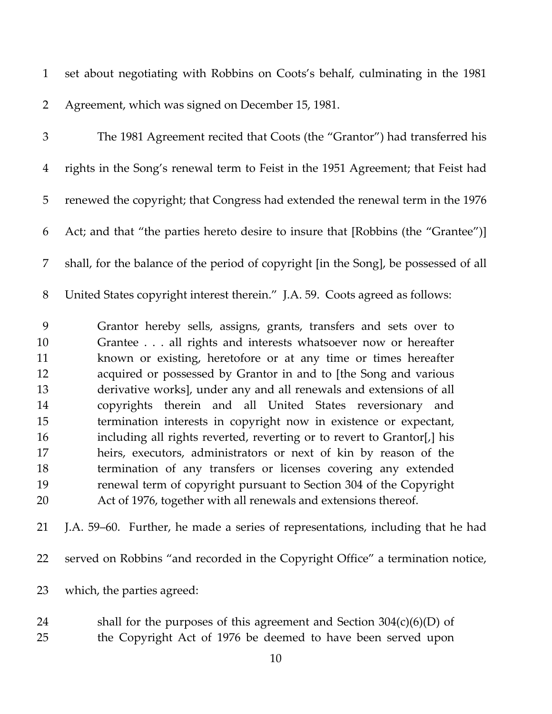set about negotiating with Robbins on Coots's behalf, culminating in the 1981 Agreement, which was signed on December 15, 1981.

 The 1981 Agreement recited that Coots (the "Grantor") had transferred his rights in the Song's renewal term to Feist in the 1951 Agreement; that Feist had renewed the copyright; that Congress had extended the renewal term in the 1976 Act; and that "the parties hereto desire to insure that [Robbins (the "Grantee")] shall, for the balance of the period of copyright [in the Song], be possessed of all United States copyright interest therein." J.A. 59. Coots agreed as follows: Grantor hereby sells, assigns, grants, transfers and sets over to Grantee . . . all rights and interests whatsoever now or hereafter known or existing, heretofore or at any time or times hereafter acquired or possessed by Grantor in and to [the Song and various derivative works], under any and all renewals and extensions of all copyrights therein and all United States reversionary and termination interests in copyright now in existence or expectant, including all rights reverted, reverting or to revert to Grantor[,] his heirs, executors, administrators or next of kin by reason of the termination of any transfers or licenses covering any extended renewal term of copyright pursuant to Section 304 of the Copyright Act of 1976, together with all renewals and extensions thereof.

J.A. 59–60. Further, he made a series of representations, including that he had

served on Robbins "and recorded in the Copyright Office" a termination notice,

- which, the parties agreed:
- shall for the purposes of this agreement and Section 304(c)(6)(D) of the Copyright Act of 1976 be deemed to have been served upon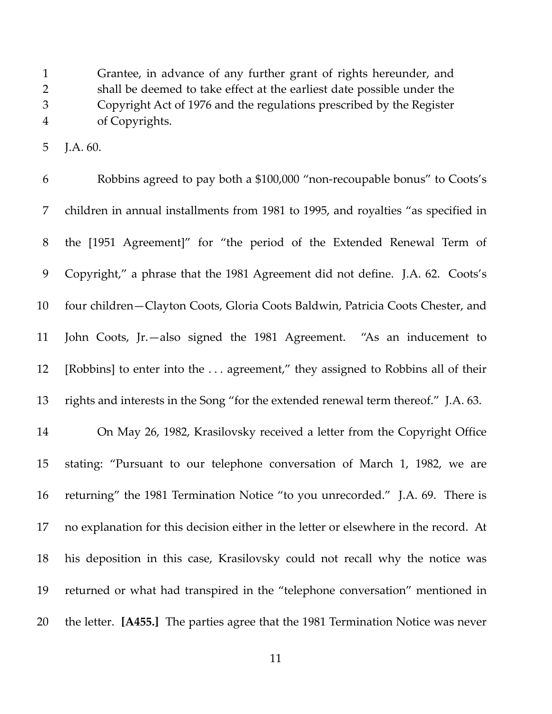Grantee, in advance of any further grant of rights hereunder, and shall be deemed to take effect at the earliest date possible under the Copyright Act of 1976 and the regulations prescribed by the Register of Copyrights.

J.A. 60.

 Robbins agreed to pay both a \$100,000 "non‐recoupable bonus" to Coots's children in annual installments from 1981 to 1995, and royalties "as specified in the [1951 Agreement]" for "the period of the Extended Renewal Term of Copyright," a phrase that the 1981 Agreement did not define. J.A. 62. Coots's four children—Clayton Coots, Gloria Coots Baldwin, Patricia Coots Chester, and John Coots, Jr.—also signed the 1981 Agreement. "As an inducement to [Robbins] to enter into the . . . agreement," they assigned to Robbins all of their rights and interests in the Song "for the extended renewal term thereof." J.A. 63. On May 26, 1982, Krasilovsky received a letter from the Copyright Office

 stating: "Pursuant to our telephone conversation of March 1, 1982, we are returning" the 1981 Termination Notice "to you unrecorded." J.A. 69. There is no explanation for this decision either in the letter or elsewhere in the record. At his deposition in this case, Krasilovsky could not recall why the notice was returned or what had transpired in the "telephone conversation" mentioned in the letter. **[A455.]** The parties agree that the 1981 Termination Notice was never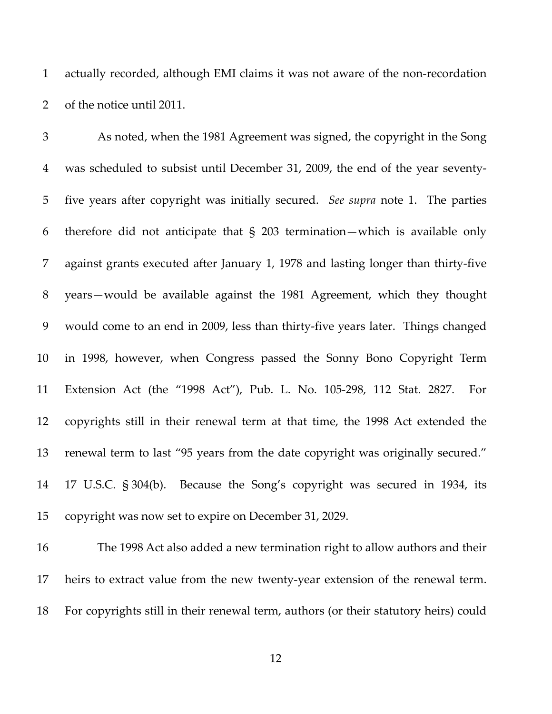actually recorded, although EMI claims it was not aware of the non‐recordation of the notice until 2011.

 As noted, when the 1981 Agreement was signed, the copyright in the Song was scheduled to subsist until December 31, 2009, the end of the year seventy‐ five years after copyright was initially secured. *See supra* note 1. The parties therefore did not anticipate that § 203 termination—which is available only against grants executed after January 1, 1978 and lasting longer than thirty‐five years—would be available against the 1981 Agreement, which they thought would come to an end in 2009, less than thirty‐five years later. Things changed in 1998, however, when Congress passed the Sonny Bono Copyright Term Extension Act (the "1998 Act"), Pub. L. No. 105‐298, 112 Stat. 2827. For copyrights still in their renewal term at that time, the 1998 Act extended the renewal term to last "95 years from the date copyright was originally secured." 17 U.S.C. § 304(b). Because the Song's copyright was secured in 1934, its copyright was now set to expire on December 31, 2029.

 The 1998 Act also added a new termination right to allow authors and their 17 heirs to extract value from the new twenty-year extension of the renewal term. For copyrights still in their renewal term, authors (or their statutory heirs) could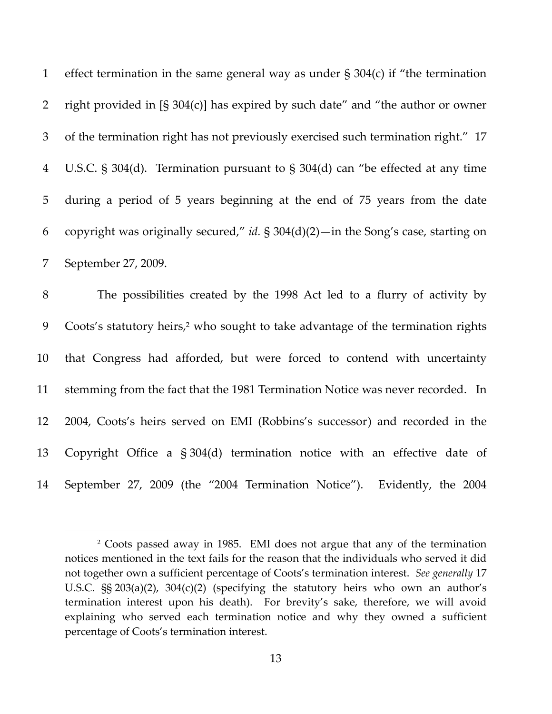|                | 1 effect termination in the same general way as under $\S 304(c)$ if "the termination   |
|----------------|-----------------------------------------------------------------------------------------|
| 2              | right provided in $[\S 304(c)]$ has expired by such date" and "the author or owner      |
| 3              | of the termination right has not previously exercised such termination right." 17       |
| $\overline{4}$ | U.S.C. $\S$ 304(d). Termination pursuant to $\S$ 304(d) can "be effected at any time    |
| 5 <sup>5</sup> | during a period of 5 years beginning at the end of 75 years from the date               |
| 6              | copyright was originally secured," id. $\S 304(d)(2)$ - in the Song's case, starting on |
|                | September 27, 2009.                                                                     |

 The possibilities created by the 1998 Act led to a flurry of activity by 9 Coots's statutory heirs,<sup>2</sup> who sought to take advantage of the termination rights that Congress had afforded, but were forced to contend with uncertainty stemming from the fact that the 1981 Termination Notice was never recorded. In 2004, Coots's heirs served on EMI (Robbins's successor) and recorded in the Copyright Office a § 304(d) termination notice with an effective date of September 27, 2009 (the "2004 Termination Notice"). Evidently, the 2004

 Coots passed away in 1985. EMI does not argue that any of the termination notices mentioned in the text fails for the reason that the individuals who served it did not together own a sufficient percentage of Coots's termination interest. *See generally* 17 U.S.C. §§ 203(a)(2), 304(c)(2) (specifying the statutory heirs who own an author's termination interest upon his death). For brevity's sake, therefore, we will avoid explaining who served each termination notice and why they owned a sufficient percentage of Coots's termination interest.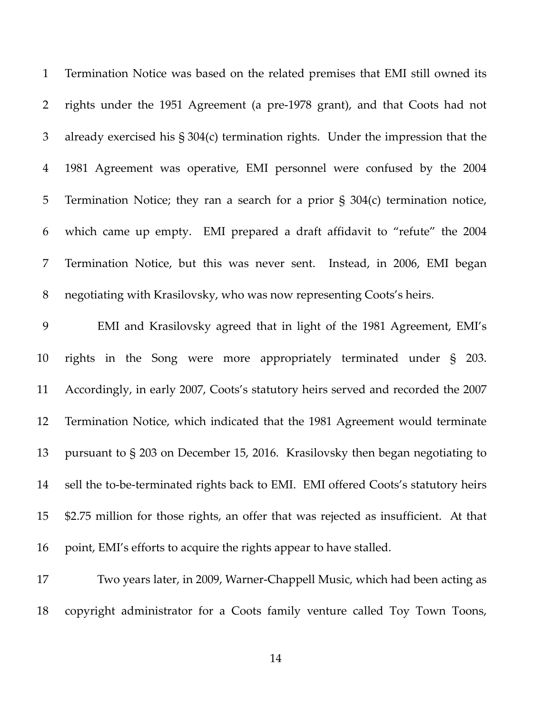Termination Notice was based on the related premises that EMI still owned its rights under the 1951 Agreement (a pre‐1978 grant), and that Coots had not already exercised his § 304(c) termination rights. Under the impression that the 1981 Agreement was operative, EMI personnel were confused by the 2004 Termination Notice; they ran a search for a prior § 304(c) termination notice, which came up empty. EMI prepared a draft affidavit to "refute" the 2004 Termination Notice, but this was never sent. Instead, in 2006, EMI began negotiating with Krasilovsky, who was now representing Coots's heirs.

 EMI and Krasilovsky agreed that in light of the 1981 Agreement, EMI's rights in the Song were more appropriately terminated under § 203. Accordingly, in early 2007, Coots's statutory heirs served and recorded the 2007 Termination Notice, which indicated that the 1981 Agreement would terminate pursuant to § 203 on December 15, 2016. Krasilovsky then began negotiating to 14 sell the to-be-terminated rights back to EMI. EMI offered Coots's statutory heirs \$2.75 million for those rights, an offer that was rejected as insufficient. At that point, EMI's efforts to acquire the rights appear to have stalled.

 Two years later, in 2009, Warner‐Chappell Music, which had been acting as copyright administrator for a Coots family venture called Toy Town Toons,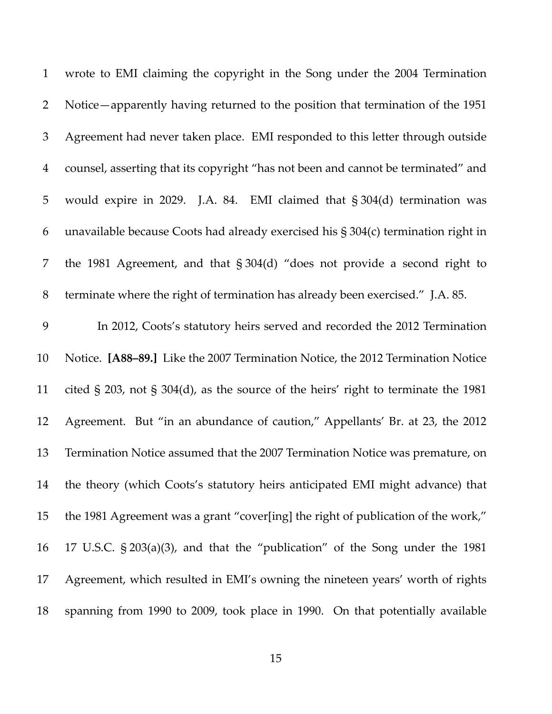| $\mathbf{1}$   | wrote to EMI claiming the copyright in the Song under the 2004 Termination         |
|----------------|------------------------------------------------------------------------------------|
| $\overline{2}$ | Notice—apparently having returned to the position that termination of the 1951     |
| $\mathfrak{Z}$ | Agreement had never taken place. EMI responded to this letter through outside      |
| $\overline{4}$ | counsel, asserting that its copyright "has not been and cannot be terminated" and  |
| 5              | would expire in 2029. J.A. 84. EMI claimed that § 304(d) termination was           |
| 6              | unavailable because Coots had already exercised his § 304(c) termination right in  |
| 7              | the 1981 Agreement, and that § 304(d) "does not provide a second right to          |
| 8              | terminate where the right of termination has already been exercised." J.A. 85.     |
| 9              | In 2012, Coots's statutory heirs served and recorded the 2012 Termination          |
| 10             | Notice. [A88-89.] Like the 2007 Termination Notice, the 2012 Termination Notice    |
| 11             | cited § 203, not § 304(d), as the source of the heirs' right to terminate the 1981 |
| 12             | Agreement. But "in an abundance of caution," Appellants' Br. at 23, the 2012       |
| 13             | Termination Notice assumed that the 2007 Termination Notice was premature, on      |
| 14             | the theory (which Coots's statutory heirs anticipated EMI might advance) that      |
| 15             | the 1981 Agreement was a grant "cover[ing] the right of publication of the work,"  |
| 16             | 17 U.S.C. § 203(a)(3), and that the "publication" of the Song under the 1981       |
| 17             | Agreement, which resulted in EMI's owning the nineteen years' worth of rights      |
| 18             | spanning from 1990 to 2009, took place in 1990. On that potentially available      |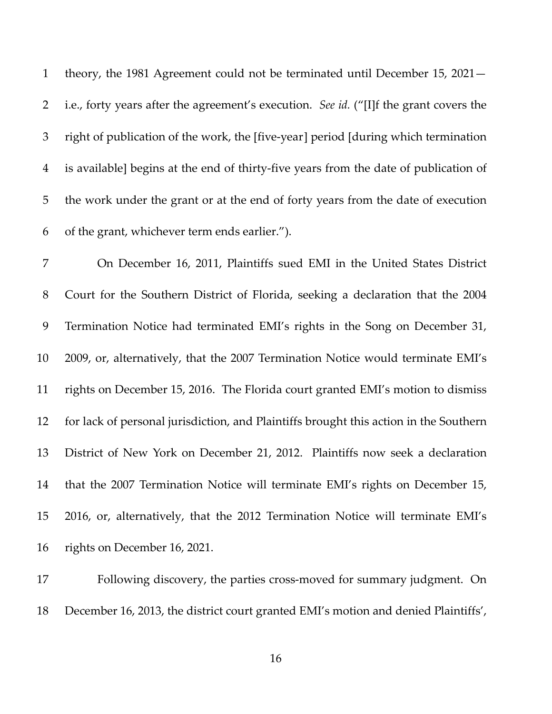theory, the 1981 Agreement could not be terminated until December 15, 2021— i.e., forty years after the agreement's execution. *See id.* ("[I]f the grant covers the right of publication of the work, the [five‐year] period [during which termination is available] begins at the end of thirty‐five years from the date of publication of the work under the grant or at the end of forty years from the date of execution of the grant, whichever term ends earlier.").

 On December 16, 2011, Plaintiffs sued EMI in the United States District Court for the Southern District of Florida, seeking a declaration that the 2004 Termination Notice had terminated EMI's rights in the Song on December 31, 2009, or, alternatively, that the 2007 Termination Notice would terminate EMI's rights on December 15, 2016. The Florida court granted EMI's motion to dismiss for lack of personal jurisdiction, and Plaintiffs brought this action in the Southern District of New York on December 21, 2012. Plaintiffs now seek a declaration that the 2007 Termination Notice will terminate EMI's rights on December 15, 2016, or, alternatively, that the 2012 Termination Notice will terminate EMI's rights on December 16, 2021. 

17 Following discovery, the parties cross-moved for summary judgment. On December 16, 2013, the district court granted EMI's motion and denied Plaintiffs',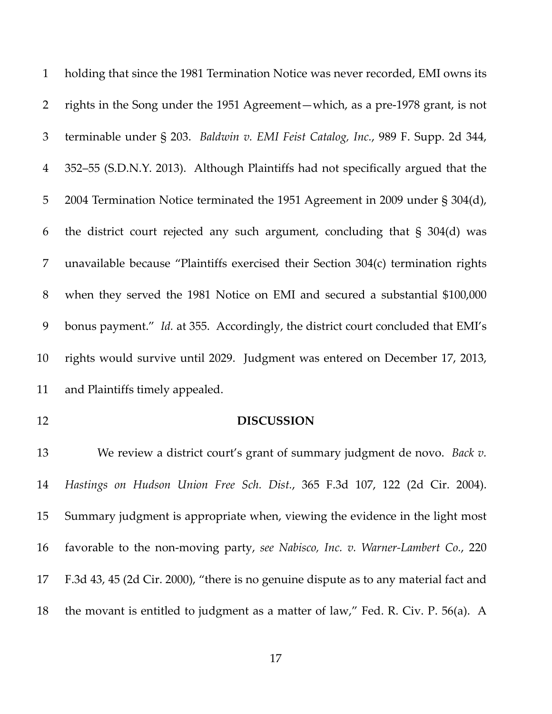holding that since the 1981 Termination Notice was never recorded, EMI owns its rights in the Song under the 1951 Agreement—which, as a pre‐1978 grant, is not terminable under § 203. *Baldwin v. EMI Feist Catalog, Inc.*, 989 F. Supp. 2d 344, 352–55 (S.D.N.Y. 2013). Although Plaintiffs had not specifically argued that the 2004 Termination Notice terminated the 1951 Agreement in 2009 under § 304(d), the district court rejected any such argument, concluding that § 304(d) was unavailable because "Plaintiffs exercised their Section 304(c) termination rights when they served the 1981 Notice on EMI and secured a substantial \$100,000 bonus payment." *Id.* at 355. Accordingly, the district court concluded that EMI's rights would survive until 2029. Judgment was entered on December 17, 2013, and Plaintiffs timely appealed.

## **DISCUSSION**

 We review a district court's grant of summary judgment de novo. *Back v. Hastings on Hudson Union Free Sch. Dist.*, 365 F.3d 107, 122 (2d Cir. 2004). Summary judgment is appropriate when, viewing the evidence in the light most favorable to the non‐moving party, *see Nabisco, Inc. v. Warner‐Lambert Co.*, 220 F.3d 43, 45 (2d Cir. 2000), "there is no genuine dispute as to any material fact and the movant is entitled to judgment as a matter of law," Fed. R. Civ. P. 56(a). A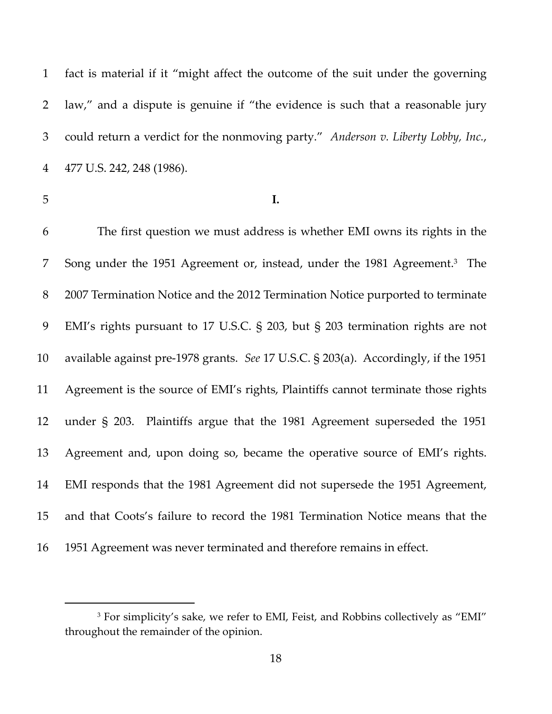fact is material if it "might affect the outcome of the suit under the governing law," and a dispute is genuine if "the evidence is such that a reasonable jury could return a verdict for the nonmoving party." *Anderson v. Liberty Lobby, Inc.*, 477 U.S. 242, 248 (1986).

**I.**

 The first question we must address is whether EMI owns its rights in the 7 Song under the 1951 Agreement or, instead, under the 1981 Agreement.<sup>3</sup> The 2007 Termination Notice and the 2012 Termination Notice purported to terminate EMI's rights pursuant to 17 U.S.C. § 203, but § 203 termination rights are not available against pre‐1978 grants. *See* 17 U.S.C. § 203(a). Accordingly, if the 1951 Agreement is the source of EMI's rights, Plaintiffs cannot terminate those rights under § 203. Plaintiffs argue that the 1981 Agreement superseded the 1951 Agreement and, upon doing so, became the operative source of EMI's rights. EMI responds that the 1981 Agreement did not supersede the 1951 Agreement, and that Coots's failure to record the 1981 Termination Notice means that the 1951 Agreement was never terminated and therefore remains in effect.

<sup>&</sup>lt;sup>3</sup> For simplicity's sake, we refer to EMI, Feist, and Robbins collectively as "EMI" throughout the remainder of the opinion.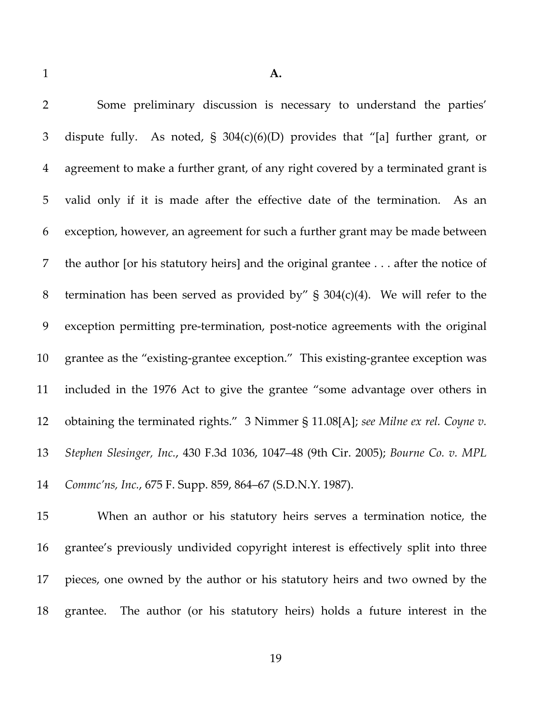| 2              | Some preliminary discussion is necessary to understand the parties'                |
|----------------|------------------------------------------------------------------------------------|
| 3              | dispute fully. As noted, $\S$ 304(c)(6)(D) provides that "[a] further grant, or    |
| $\overline{4}$ | agreement to make a further grant, of any right covered by a terminated grant is   |
| 5              | valid only if it is made after the effective date of the termination. As an        |
| 6              | exception, however, an agreement for such a further grant may be made between      |
| 7              | the author [or his statutory heirs] and the original grantee after the notice of   |
| $8\,$          | termination has been served as provided by" $\S$ 304(c)(4). We will refer to the   |
| 9              | exception permitting pre-termination, post-notice agreements with the original     |
| 10             | grantee as the "existing-grantee exception." This existing-grantee exception was   |
| 11             | included in the 1976 Act to give the grantee "some advantage over others in        |
| 12             | obtaining the terminated rights." 3 Nimmer § 11.08[A]; see Milne ex rel. Coyne v.  |
| 13             | Stephen Slesinger, Inc., 430 F.3d 1036, 1047–48 (9th Cir. 2005); Bourne Co. v. MPL |
| 14             | Commc'ns, Inc., 675 F. Supp. 859, 864-67 (S.D.N.Y. 1987).                          |
|                |                                                                                    |

 When an author or his statutory heirs serves a termination notice, the grantee's previously undivided copyright interest is effectively split into three pieces, one owned by the author or his statutory heirs and two owned by the grantee. The author (or his statutory heirs) holds a future interest in the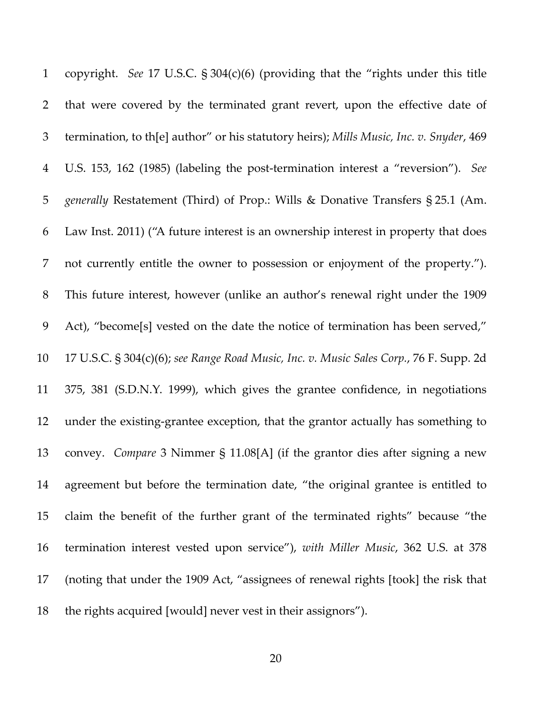copyright. *See* 17 U.S.C. § 304(c)(6) (providing that the "rights under this title that were covered by the terminated grant revert, upon the effective date of termination, to th[e] author" or his statutory heirs); *Mills Music, Inc. v. Snyder*, 469 U.S. 153, 162 (1985) (labeling the post‐termination interest a "reversion"). *See generally* Restatement (Third) of Prop.: Wills & Donative Transfers § 25.1 (Am. Law Inst. 2011) ("A future interest is an ownership interest in property that does not currently entitle the owner to possession or enjoyment of the property."). This future interest, however (unlike an author's renewal right under the 1909 Act), "become[s] vested on the date the notice of termination has been served," 17 U.S.C. § 304(c)(6); *see Range Road Music, Inc. v. Music Sales Corp.*, 76 F. Supp. 2d 375, 381 (S.D.N.Y. 1999), which gives the grantee confidence, in negotiations under the existing‐grantee exception, that the grantor actually has something to convey. *Compare* 3 Nimmer § 11.08[A] (if the grantor dies after signing a new agreement but before the termination date, "the original grantee is entitled to claim the benefit of the further grant of the terminated rights" because "the termination interest vested upon service"), *with Miller Music*, 362 U.S. at 378 (noting that under the 1909 Act, "assignees of renewal rights [took] the risk that the rights acquired [would] never vest in their assignors").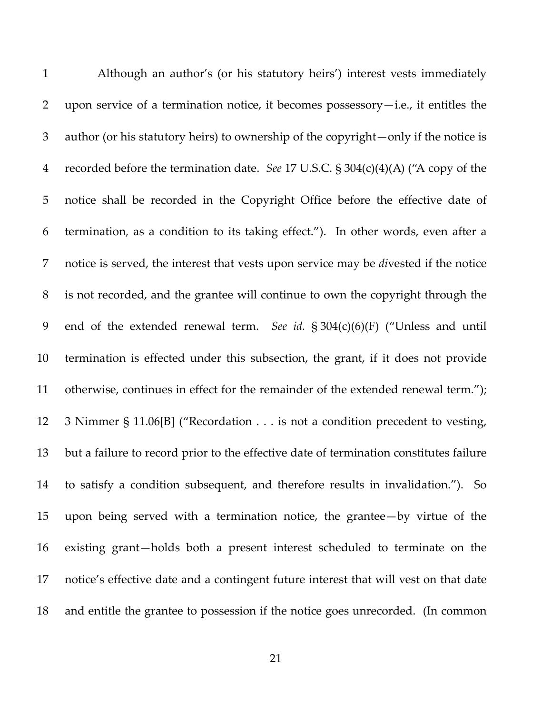| $\mathbf{1}$   | Although an author's (or his statutory heirs') interest vests immediately              |
|----------------|----------------------------------------------------------------------------------------|
| $\overline{2}$ | upon service of a termination notice, it becomes possessory-i.e., it entitles the      |
| 3              | author (or his statutory heirs) to ownership of the copyright—only if the notice is    |
| $\overline{4}$ | recorded before the termination date. See 17 U.S.C. $\S 304(c)(4)(A)$ ("A copy of the  |
| 5              | notice shall be recorded in the Copyright Office before the effective date of          |
| 6              | termination, as a condition to its taking effect."). In other words, even after a      |
| 7              | notice is served, the interest that vests upon service may be divested if the notice   |
| 8              | is not recorded, and the grantee will continue to own the copyright through the        |
| 9              | end of the extended renewal term. See id. § 304(c)(6)(F) ("Unless and until            |
| 10             | termination is effected under this subsection, the grant, if it does not provide       |
| 11             | otherwise, continues in effect for the remainder of the extended renewal term.");      |
| 12             | 3 Nimmer § 11.06[B] ("Recordation is not a condition precedent to vesting,             |
| 13             | but a failure to record prior to the effective date of termination constitutes failure |
| 14             | to satisfy a condition subsequent, and therefore results in invalidation."). So        |
| 15             | upon being served with a termination notice, the grantee—by virtue of the              |
| 16             | existing grant-holds both a present interest scheduled to terminate on the             |
| 17             | notice's effective date and a contingent future interest that will vest on that date   |
| 18             | and entitle the grantee to possession if the notice goes unrecorded. (In common        |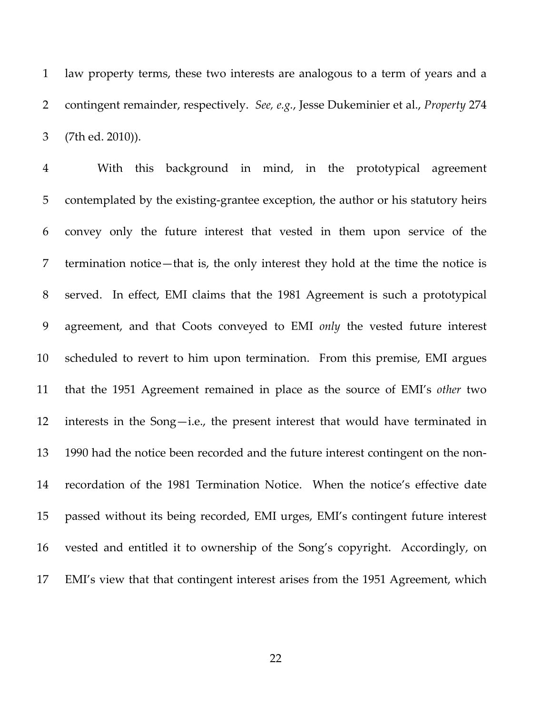law property terms, these two interests are analogous to a term of years and a contingent remainder, respectively. *See, e.g.*, Jesse Dukeminier et al., *Property* 274 (7th ed. 2010)).

 With this background in mind, in the prototypical agreement 5 contemplated by the existing-grantee exception, the author or his statutory heirs convey only the future interest that vested in them upon service of the termination notice—that is, the only interest they hold at the time the notice is served. In effect, EMI claims that the 1981 Agreement is such a prototypical agreement, and that Coots conveyed to EMI *only* the vested future interest scheduled to revert to him upon termination. From this premise, EMI argues that the 1951 Agreement remained in place as the source of EMI's *other* two interests in the Song—i.e., the present interest that would have terminated in 1990 had the notice been recorded and the future interest contingent on the non‐ recordation of the 1981 Termination Notice. When the notice's effective date passed without its being recorded, EMI urges, EMI's contingent future interest vested and entitled it to ownership of the Song's copyright. Accordingly, on EMI's view that that contingent interest arises from the 1951 Agreement, which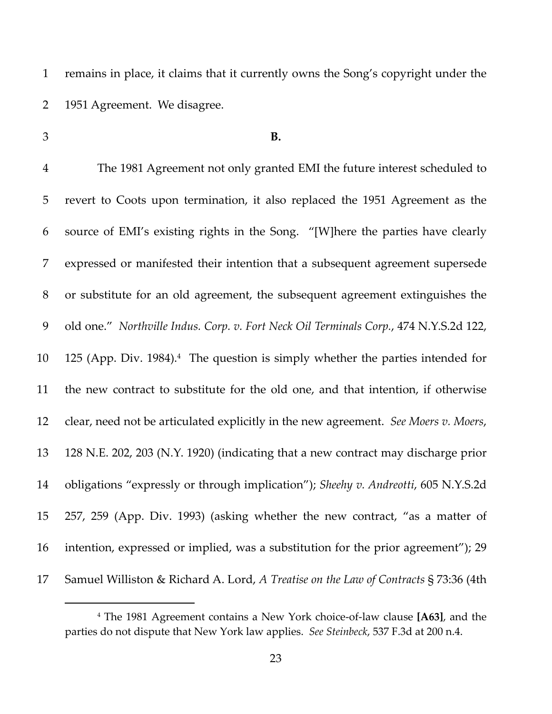remains in place, it claims that it currently owns the Song's copyright under the 1951 Agreement. We disagree.

## **B.**

 The 1981 Agreement not only granted EMI the future interest scheduled to revert to Coots upon termination, it also replaced the 1951 Agreement as the source of EMI's existing rights in the Song. "[W]here the parties have clearly expressed or manifested their intention that a subsequent agreement supersede or substitute for an old agreement, the subsequent agreement extinguishes the old one." *Northville Indus. Corp. v. Fort Neck Oil Terminals Corp.*, 474 N.Y.S.2d 122, 10 125 (App. Div. 1984).<sup>4</sup> The question is simply whether the parties intended for the new contract to substitute for the old one, and that intention, if otherwise clear, need not be articulated explicitly in the new agreement. *See Moers v. Moers*, 128 N.E. 202, 203 (N.Y. 1920) (indicating that a new contract may discharge prior obligations "expressly or through implication"); *Sheehy v. Andreotti*, 605 N.Y.S.2d 257, 259 (App. Div. 1993) (asking whether the new contract, "as a matter of intention, expressed or implied, was a substitution for the prior agreement"); 29 Samuel Williston & Richard A. Lord, *A Treatise on the Law of Contracts* § 73:36 (4th

 The 1981 Agreement contains a New York choice‐of‐law clause **[A63]**, and the parties do not dispute that New York law applies. *See Steinbeck*, 537 F.3d at 200 n.4.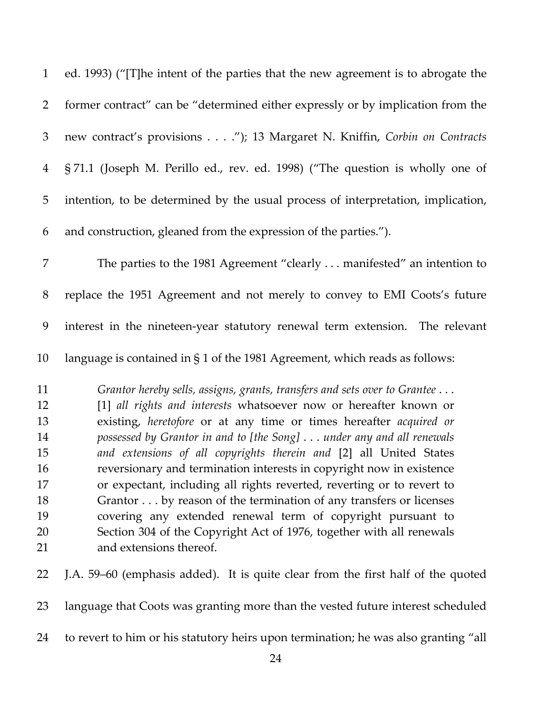| $\mathbf{1}$   | ed. 1993) ("[T]he intent of the parties that the new agreement is to abrogate the                                                              |
|----------------|------------------------------------------------------------------------------------------------------------------------------------------------|
| $\overline{2}$ | former contract" can be "determined either expressly or by implication from the                                                                |
| 3              | new contract's provisions"); 13 Margaret N. Kniffin, Corbin on Contracts                                                                       |
| $\overline{4}$ | §71.1 (Joseph M. Perillo ed., rev. ed. 1998) ("The question is wholly one of                                                                   |
| 5              | intention, to be determined by the usual process of interpretation, implication,                                                               |
| 6              | and construction, gleaned from the expression of the parties.").                                                                               |
| 7              | The parties to the 1981 Agreement "clearly manifested" an intention to                                                                         |
| $8\,$          | replace the 1951 Agreement and not merely to convey to EMI Coots's future                                                                      |
| 9              | interest in the nineteen-year statutory renewal term extension. The relevant                                                                   |
| 10             | language is contained in $\S 1$ of the 1981 Agreement, which reads as follows:                                                                 |
| 11<br>12       | Grantor hereby sells, assigns, grants, transfers and sets over to Grantee<br>[1] all rights and interests whatsoever now or hereafter known or |
| 13<br>14       | existing, heretofore or at any time or times hereafter acquired or<br>possessed by Grantor in and to [the Song]under any and all renewals      |
| 15             | and extensions of all copyrights therein and [2] all United States                                                                             |
| 16             | reversionary and termination interests in copyright now in existence                                                                           |
| 17<br>18       | or expectant, including all rights reverted, reverting or to revert to<br>Grantor by reason of the termination of any transfers or licenses    |
| 19             | covering any extended renewal term of copyright pursuant to                                                                                    |
| 20             | Section 304 of the Copyright Act of 1976, together with all renewals                                                                           |
| 21             | and extensions thereof.                                                                                                                        |
| 22             | J.A. 59–60 (emphasis added). It is quite clear from the first half of the quoted                                                               |
| 23             | language that Coots was granting more than the vested future interest scheduled                                                                |

to revert to him or his statutory heirs upon termination; he was also granting "all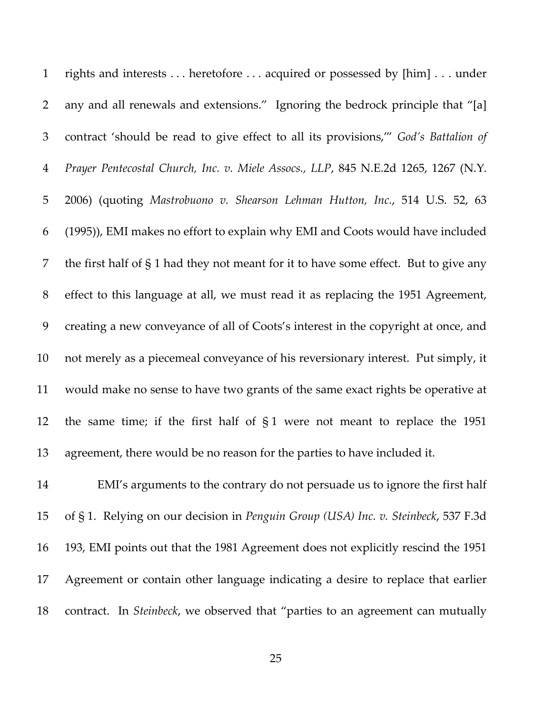| $\mathbf{1}$   | rights and interests heretofore acquired or possessed by [him] under                 |
|----------------|--------------------------------------------------------------------------------------|
| 2              | any and all renewals and extensions." Ignoring the bedrock principle that "[a]       |
| $\mathfrak{Z}$ | contract 'should be read to give effect to all its provisions," God's Battalion of   |
| $\overline{4}$ | Prayer Pentecostal Church, Inc. v. Miele Assocs., LLP, 845 N.E.2d 1265, 1267 (N.Y.   |
| $\overline{5}$ | 2006) (quoting Mastrobuono v. Shearson Lehman Hutton, Inc., 514 U.S. 52, 63          |
| 6              | (1995)), EMI makes no effort to explain why EMI and Coots would have included        |
| 7              | the first half of § 1 had they not meant for it to have some effect. But to give any |
| $8\,$          | effect to this language at all, we must read it as replacing the 1951 Agreement,     |
| 9              | creating a new conveyance of all of Coots's interest in the copyright at once, and   |
| 10             | not merely as a piecemeal conveyance of his reversionary interest. Put simply, it    |
| 11             | would make no sense to have two grants of the same exact rights be operative at      |
| 12             | the same time; if the first half of $\S1$ were not meant to replace the 1951         |
| 13             | agreement, there would be no reason for the parties to have included it.             |
| 14             | EMI's arguments to the contrary do not persuade us to ignore the first half          |
| 15             | of § 1. Relying on our decision in Penguin Group (USA) Inc. v. Steinbeck, 537 F.3d   |

 193, EMI points out that the 1981 Agreement does not explicitly rescind the 1951 Agreement or contain other language indicating a desire to replace that earlier contract. In *Steinbeck*, we observed that "parties to an agreement can mutually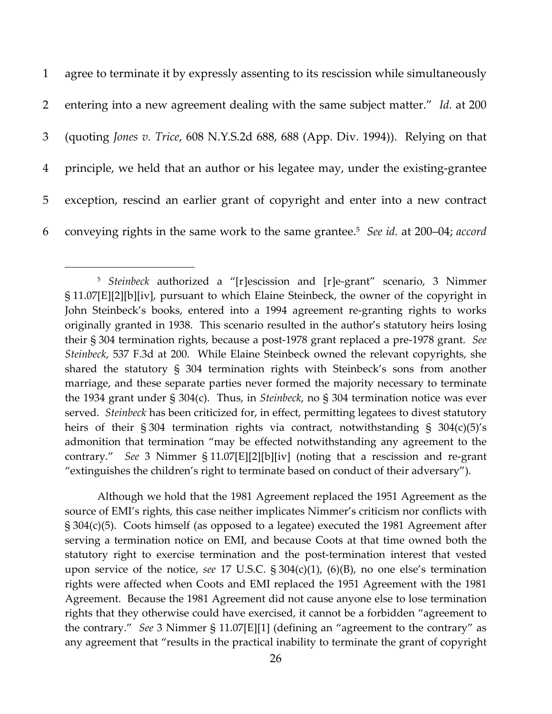agree to terminate it by expressly assenting to its rescission while simultaneously entering into a new agreement dealing with the same subject matter." *Id.* at 200 (quoting *Jones v. Trice*, 608 N.Y.S.2d 688, 688 (App. Div. 1994)). Relying on that principle, we held that an author or his legatee may, under the existing‐grantee exception, rescind an earlier grant of copyright and enter into a new contract conveying rights in the same work to the same grantee.5 6 *See id.* at 200–04; *accord*

Although we hold that the 1981 Agreement replaced the 1951 Agreement as the source of EMI's rights, this case neither implicates Nimmer's criticism nor conflicts with § 304(c)(5). Coots himself (as opposed to a legatee) executed the 1981 Agreement after serving a termination notice on EMI, and because Coots at that time owned both the statutory right to exercise termination and the post-termination interest that vested upon service of the notice, *see* 17 U.S.C. § 304(c)(1), (6)(B), no one else's termination rights were affected when Coots and EMI replaced the 1951 Agreement with the 1981 Agreement. Because the 1981 Agreement did not cause anyone else to lose termination rights that they otherwise could have exercised, it cannot be a forbidden "agreement to the contrary." *See* 3 Nimmer § 11.07[E][1] (defining an "agreement to the contrary" as any agreement that "results in the practical inability to terminate the grant of copyright

<sup>5</sup> *Steinbeck* authorized a "[r]escission and [r]e‐grant" scenario, 3 Nimmer § 11.07[E][2][b][iv], pursuant to which Elaine Steinbeck, the owner of the copyright in John Steinbeck's books, entered into a 1994 agreement re‐granting rights to works originally granted in 1938. This scenario resulted in the author's statutory heirs losing their § 304 termination rights, because a post‐1978 grant replaced a pre‐1978 grant. *See Steinbeck*, 537 F.3d at 200. While Elaine Steinbeck owned the relevant copyrights, she shared the statutory § 304 termination rights with Steinbeck's sons from another marriage, and these separate parties never formed the majority necessary to terminate the 1934 grant under § 304(c). Thus, in *Steinbeck*, no § 304 termination notice was ever served. *Steinbeck* has been criticized for, in effect, permitting legatees to divest statutory heirs of their § 304 termination rights via contract, notwithstanding § 304(c)(5)'s admonition that termination "may be effected notwithstanding any agreement to the contrary." *See* 3 Nimmer § 11.07[E][2][b][iv] (noting that a rescission and re‐grant "extinguishes the children's right to terminate based on conduct of their adversary").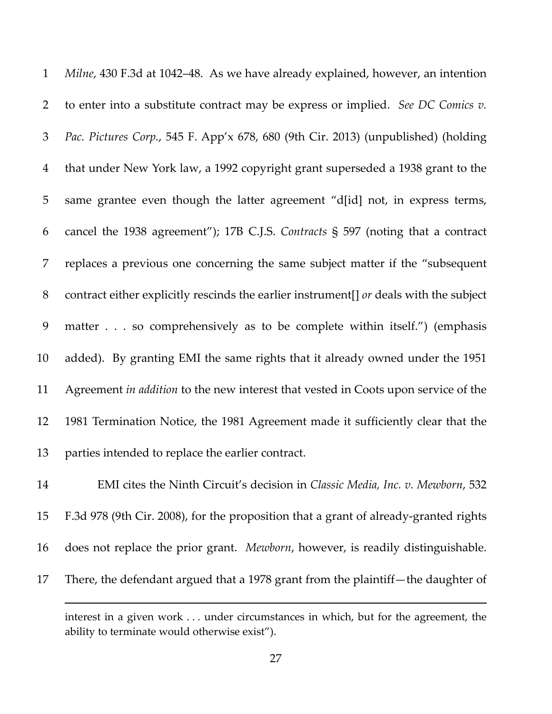*Milne*, 430 F.3d at 1042–48. As we have already explained, however, an intention to enter into a substitute contract may be express or implied. *See DC Comics v. Pac. Pictures Corp.*, 545 F. App'x 678, 680 (9th Cir. 2013) (unpublished) (holding that under New York law, a 1992 copyright grant superseded a 1938 grant to the same grantee even though the latter agreement "d[id] not, in express terms, cancel the 1938 agreement"); 17B C.J.S. *Contracts* § 597 (noting that a contract replaces a previous one concerning the same subject matter if the "subsequent contract either explicitly rescinds the earlier instrument[] *or* deals with the subject matter . . . so comprehensively as to be complete within itself.") (emphasis added). By granting EMI the same rights that it already owned under the 1951 Agreement *in addition* to the new interest that vested in Coots upon service of the 1981 Termination Notice, the 1981 Agreement made it sufficiently clear that the parties intended to replace the earlier contract. EMI cites the Ninth Circuit's decision in *Classic Media, Inc. v. Mewborn*, 532

 F.3d 978 (9th Cir. 2008), for the proposition that a grant of already‐granted rights does not replace the prior grant. *Mewborn*, however, is readily distinguishable. There, the defendant argued that a 1978 grant from the plaintiff—the daughter of

<u> Andreas Andreas Andreas Andreas Andreas Andreas Andreas Andreas Andreas Andreas Andreas Andreas Andreas Andr</u>

interest in a given work . . . under circumstances in which, but for the agreement, the ability to terminate would otherwise exist").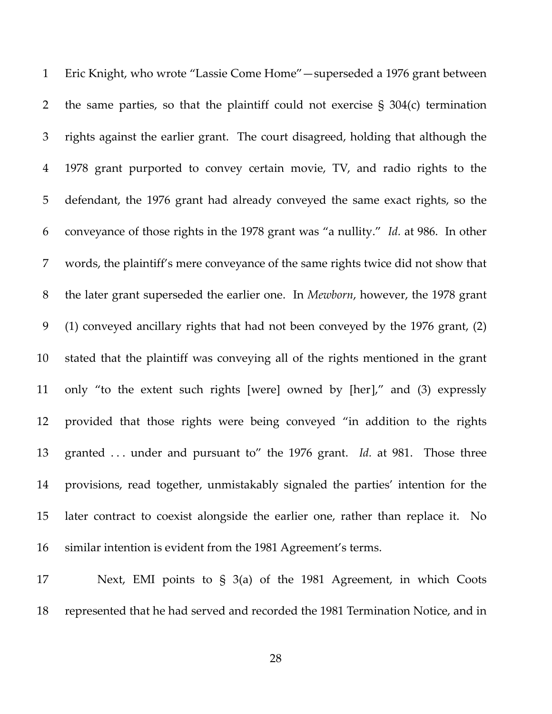Eric Knight, who wrote "Lassie Come Home"—superseded a 1976 grant between the same parties, so that the plaintiff could not exercise § 304(c) termination rights against the earlier grant. The court disagreed, holding that although the 1978 grant purported to convey certain movie, TV, and radio rights to the defendant, the 1976 grant had already conveyed the same exact rights, so the conveyance of those rights in the 1978 grant was "a nullity." *Id.* at 986. In other words, the plaintiff's mere conveyance of the same rights twice did not show that the later grant superseded the earlier one. In *Mewborn*, however, the 1978 grant (1) conveyed ancillary rights that had not been conveyed by the 1976 grant, (2) stated that the plaintiff was conveying all of the rights mentioned in the grant only "to the extent such rights [were] owned by [her]," and (3) expressly provided that those rights were being conveyed "in addition to the rights 13 granted ... under and pursuant to" the 1976 grant. *Id.* at 981. Those three provisions, read together, unmistakably signaled the parties' intention for the later contract to coexist alongside the earlier one, rather than replace it. No similar intention is evident from the 1981 Agreement's terms.

 Next, EMI points to § 3(a) of the 1981 Agreement, in which Coots represented that he had served and recorded the 1981 Termination Notice, and in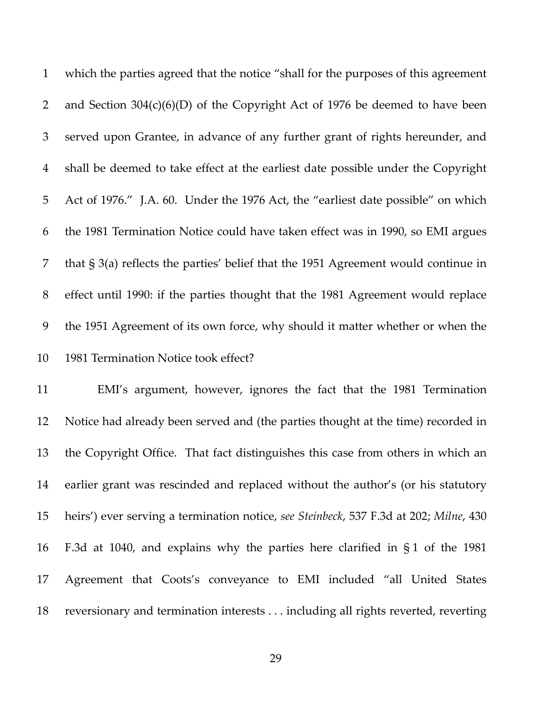which the parties agreed that the notice "shall for the purposes of this agreement and Section 304(c)(6)(D) of the Copyright Act of 1976 be deemed to have been served upon Grantee, in advance of any further grant of rights hereunder, and shall be deemed to take effect at the earliest date possible under the Copyright Act of 1976." J.A. 60. Under the 1976 Act, the "earliest date possible" on which the 1981 Termination Notice could have taken effect was in 1990, so EMI argues that § 3(a) reflects the parties' belief that the 1951 Agreement would continue in effect until 1990: if the parties thought that the 1981 Agreement would replace the 1951 Agreement of its own force, why should it matter whether or when the 1981 Termination Notice took effect?

 EMI's argument, however, ignores the fact that the 1981 Termination Notice had already been served and (the parties thought at the time) recorded in the Copyright Office. That fact distinguishes this case from others in which an earlier grant was rescinded and replaced without the author's (or his statutory heirs') ever serving a termination notice, *see Steinbeck*, 537 F.3d at 202; *Milne*, 430 F.3d at 1040, and explains why the parties here clarified in § 1 of the 1981 Agreement that Coots's conveyance to EMI included "all United States reversionary and termination interests . . . including all rights reverted, reverting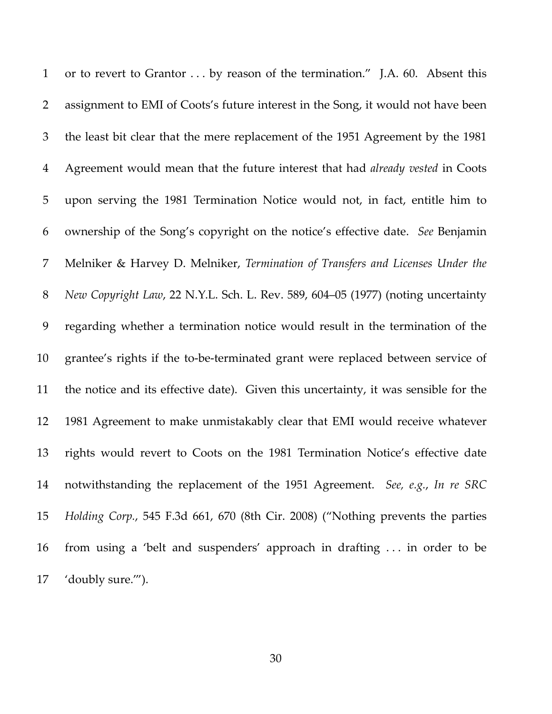1 or to revert to Grantor ... by reason of the termination." J.A. 60. Absent this assignment to EMI of Coots's future interest in the Song, it would not have been the least bit clear that the mere replacement of the 1951 Agreement by the 1981 Agreement would mean that the future interest that had *already vested* in Coots upon serving the 1981 Termination Notice would not, in fact, entitle him to ownership of the Song's copyright on the notice's effective date. *See* Benjamin Melniker & Harvey D. Melniker, *Termination of Transfers and Licenses Under the New Copyright Law*, 22 N.Y.L. Sch. L. Rev. 589, 604–05 (1977) (noting uncertainty regarding whether a termination notice would result in the termination of the 10 grantee's rights if the to-be-terminated grant were replaced between service of the notice and its effective date). Given this uncertainty, it was sensible for the 1981 Agreement to make unmistakably clear that EMI would receive whatever rights would revert to Coots on the 1981 Termination Notice's effective date notwithstanding the replacement of the 1951 Agreement. *See, e.g.*, *In re SRC Holding Corp.*, 545 F.3d 661, 670 (8th Cir. 2008) ("Nothing prevents the parties from using a 'belt and suspenders' approach in drafting . . . in order to be 'doubly sure.'").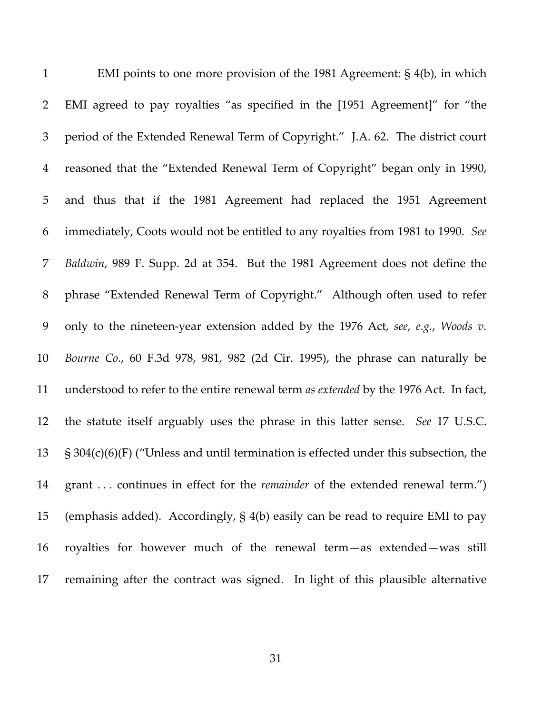| $\mathbf{1}$   | EMI points to one more provision of the 1981 Agreement: $\S$ 4(b), in which             |
|----------------|-----------------------------------------------------------------------------------------|
| $\overline{2}$ | EMI agreed to pay royalties "as specified in the [1951 Agreement]" for "the             |
| $\mathfrak{Z}$ | period of the Extended Renewal Term of Copyright." J.A. 62. The district court          |
| $\overline{4}$ | reasoned that the "Extended Renewal Term of Copyright" began only in 1990,              |
| 5              | and thus that if the 1981 Agreement had replaced the 1951 Agreement                     |
| 6              | immediately, Coots would not be entitled to any royalties from 1981 to 1990. See        |
| 7              | Baldwin, 989 F. Supp. 2d at 354. But the 1981 Agreement does not define the             |
| 8              | phrase "Extended Renewal Term of Copyright." Although often used to refer               |
| 9              | only to the nineteen-year extension added by the 1976 Act, see, e.g., Woods v.          |
| 10             | Bourne Co., 60 F.3d 978, 981, 982 (2d Cir. 1995), the phrase can naturally be           |
| 11             | understood to refer to the entire renewal term as extended by the 1976 Act. In fact,    |
| 12             | the statute itself arguably uses the phrase in this latter sense. See 17 U.S.C.         |
| 13             | $\S$ 304(c)(6)(F) ("Unless and until termination is effected under this subsection, the |
| 14             | grant  continues in effect for the <i>remainder</i> of the extended renewal term.")     |
| 15             | (emphasis added). Accordingly, $\S$ 4(b) easily can be read to require EMI to pay       |
| 16             | royalties for however much of the renewal term-as extended-was still                    |
| 17             | remaining after the contract was signed. In light of this plausible alternative         |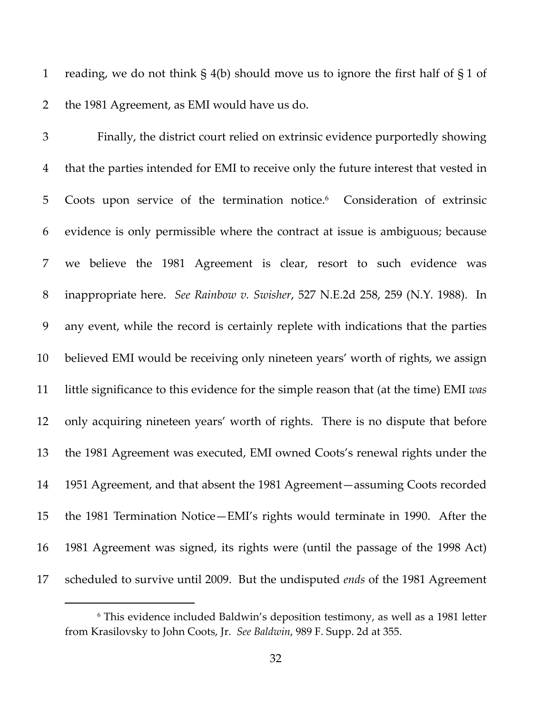1 reading, we do not think  $\S$  4(b) should move us to ignore the first half of  $\S$  1 of the 1981 Agreement, as EMI would have us do.

 Finally, the district court relied on extrinsic evidence purportedly showing that the parties intended for EMI to receive only the future interest that vested in 5 Coots upon service of the termination notice.<sup>6</sup> Consideration of extrinsic evidence is only permissible where the contract at issue is ambiguous; because we believe the 1981 Agreement is clear, resort to such evidence was inappropriate here. *See Rainbow v. Swisher*, 527 N.E.2d 258, 259 (N.Y. 1988). In any event, while the record is certainly replete with indications that the parties believed EMI would be receiving only nineteen years' worth of rights, we assign little significance to this evidence for the simple reason that (at the time) EMI *was* only acquiring nineteen years' worth of rights. There is no dispute that before the 1981 Agreement was executed, EMI owned Coots's renewal rights under the 1951 Agreement, and that absent the 1981 Agreement—assuming Coots recorded the 1981 Termination Notice—EMI's rights would terminate in 1990. After the 1981 Agreement was signed, its rights were (until the passage of the 1998 Act) scheduled to survive until 2009. But the undisputed *ends* of the 1981 Agreement

 This evidence included Baldwin's deposition testimony, as well as a 1981 letter from Krasilovsky to John Coots, Jr. *See Baldwin*, 989 F. Supp. 2d at 355.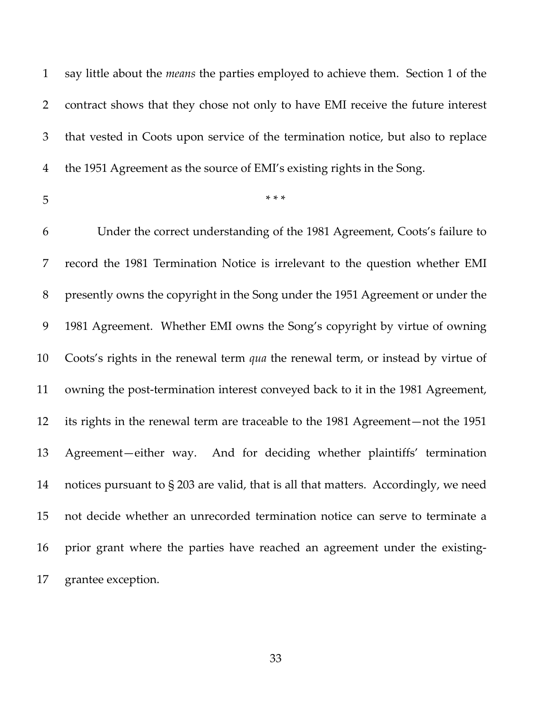say little about the *means* the parties employed to achieve them. Section 1 of the contract shows that they chose not only to have EMI receive the future interest that vested in Coots upon service of the termination notice, but also to replace the 1951 Agreement as the source of EMI's existing rights in the Song.

\*\*\*

 Under the correct understanding of the 1981 Agreement, Coots's failure to record the 1981 Termination Notice is irrelevant to the question whether EMI presently owns the copyright in the Song under the 1951 Agreement or under the 1981 Agreement. Whether EMI owns the Song's copyright by virtue of owning Coots's rights in the renewal term *qua* the renewal term, or instead by virtue of 11 owning the post-termination interest conveyed back to it in the 1981 Agreement, its rights in the renewal term are traceable to the 1981 Agreement—not the 1951 13 Agreement—either way. And for deciding whether plaintiffs' termination notices pursuant to § 203 are valid, that is all that matters. Accordingly, we need not decide whether an unrecorded termination notice can serve to terminate a prior grant where the parties have reached an agreement under the existing‐ grantee exception.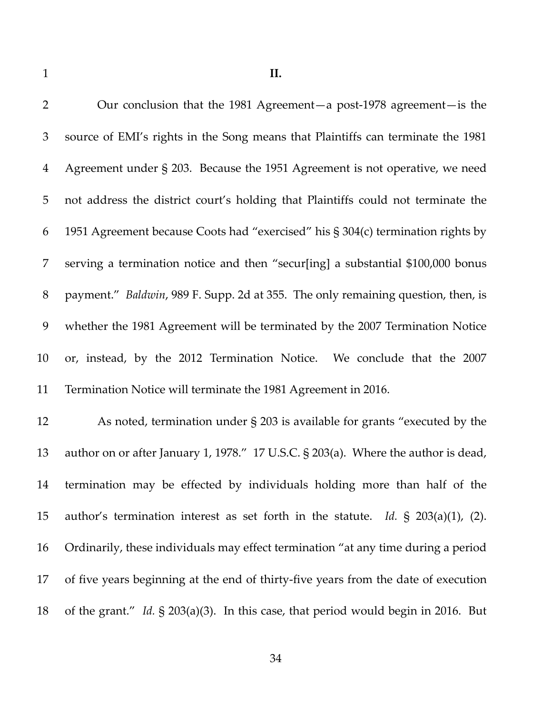| $\overline{2}$ | Our conclusion that the 1981 Agreement-a post-1978 agreement- is the                  |
|----------------|---------------------------------------------------------------------------------------|
| $\mathfrak{Z}$ | source of EMI's rights in the Song means that Plaintiffs can terminate the 1981       |
| $\overline{4}$ | Agreement under § 203. Because the 1951 Agreement is not operative, we need           |
| 5              | not address the district court's holding that Plaintiffs could not terminate the      |
| 6              | 1951 Agreement because Coots had "exercised" his § 304(c) termination rights by       |
| 7              | serving a termination notice and then "secur[ing] a substantial \$100,000 bonus       |
| $8\,$          | payment." Baldwin, 989 F. Supp. 2d at 355. The only remaining question, then, is      |
| 9              | whether the 1981 Agreement will be terminated by the 2007 Termination Notice          |
| 10             | or, instead, by the 2012 Termination Notice. We conclude that the 2007                |
| 11             | Termination Notice will terminate the 1981 Agreement in 2016.                         |
| 12             | As noted, termination under $\S$ 203 is available for grants "executed by the         |
| 13             | author on or after January 1, 1978." 17 U.S.C. § 203(a). Where the author is dead,    |
| 14             | termination may be effected by individuals holding more than half of the              |
| 15             | author's termination interest as set forth in the statute. Id. $\S$ 203(a)(1), (2).   |
| 16             | Ordinarily, these individuals may effect termination "at any time during a period     |
| 17             | of five years beginning at the end of thirty-five years from the date of execution    |
| 18             | of the grant." Id. $\S$ 203(a)(3). In this case, that period would begin in 2016. But |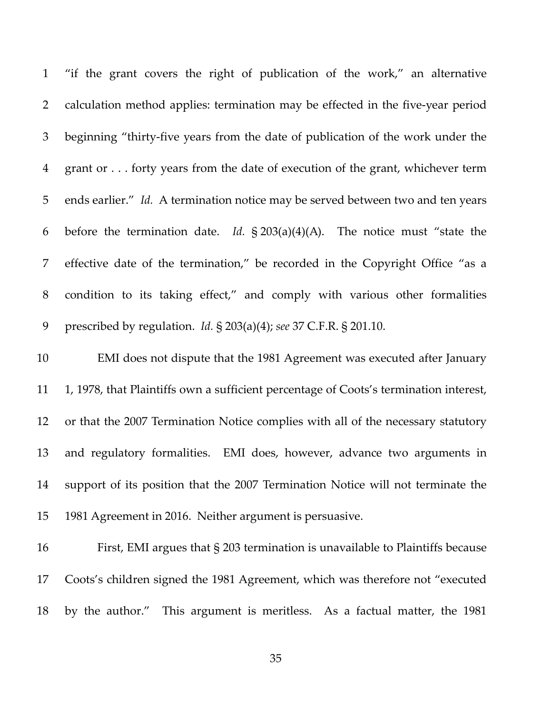"if the grant covers the right of publication of the work," an alternative 2 calculation method applies: termination may be effected in the five-year period beginning "thirty‐five years from the date of publication of the work under the grant or . . . forty years from the date of execution of the grant, whichever term ends earlier." *Id.* A termination notice may be served between two and ten years before the termination date. *Id.* § 203(a)(4)(A). The notice must "state the effective date of the termination," be recorded in the Copyright Office "as a condition to its taking effect," and comply with various other formalities prescribed by regulation. *Id.* § 203(a)(4); *see* 37 C.F.R. § 201.10.

 EMI does not dispute that the 1981 Agreement was executed after January 1, 1978, that Plaintiffs own a sufficient percentage of Coots's termination interest, or that the 2007 Termination Notice complies with all of the necessary statutory and regulatory formalities. EMI does, however, advance two arguments in support of its position that the 2007 Termination Notice will not terminate the 1981 Agreement in 2016. Neither argument is persuasive.

 First, EMI argues that § 203 termination is unavailable to Plaintiffs because Coots's children signed the 1981 Agreement, which was therefore not "executed by the author." This argument is meritless. As a factual matter, the 1981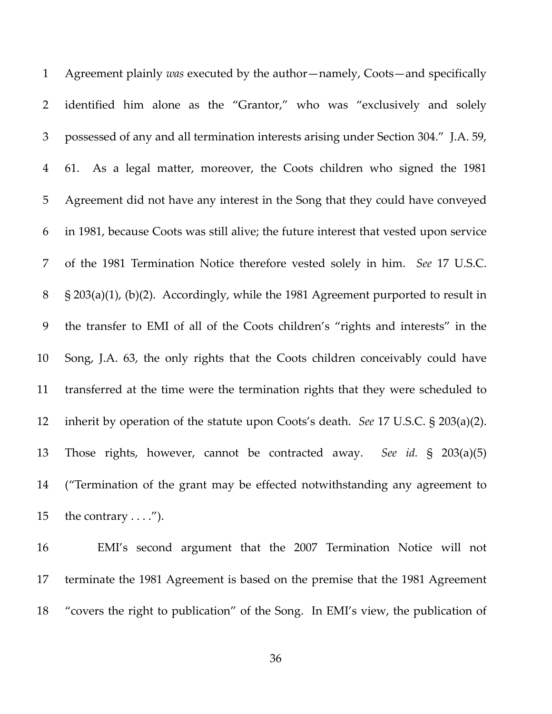Agreement plainly *was* executed by the author—namely, Coots—and specifically identified him alone as the "Grantor," who was "exclusively and solely possessed of any and all termination interests arising under Section 304." J.A. 59, 4 61. As a legal matter, moreover, the Coots children who signed the 1981 Agreement did not have any interest in the Song that they could have conveyed in 1981, because Coots was still alive; the future interest that vested upon service of the 1981 Termination Notice therefore vested solely in him. *See* 17 U.S.C. § 203(a)(1), (b)(2). Accordingly, while the 1981 Agreement purported to result in the transfer to EMI of all of the Coots children's "rights and interests" in the Song, J.A. 63, the only rights that the Coots children conceivably could have transferred at the time were the termination rights that they were scheduled to inherit by operation of the statute upon Coots's death. *See* 17 U.S.C. § 203(a)(2). Those rights, however, cannot be contracted away. *See id.* § 203(a)(5) ("Termination of the grant may be effected notwithstanding any agreement to 15 the contrary  $\dots$ .").

 EMI's second argument that the 2007 Termination Notice will not terminate the 1981 Agreement is based on the premise that the 1981 Agreement "covers the right to publication" of the Song. In EMI's view, the publication of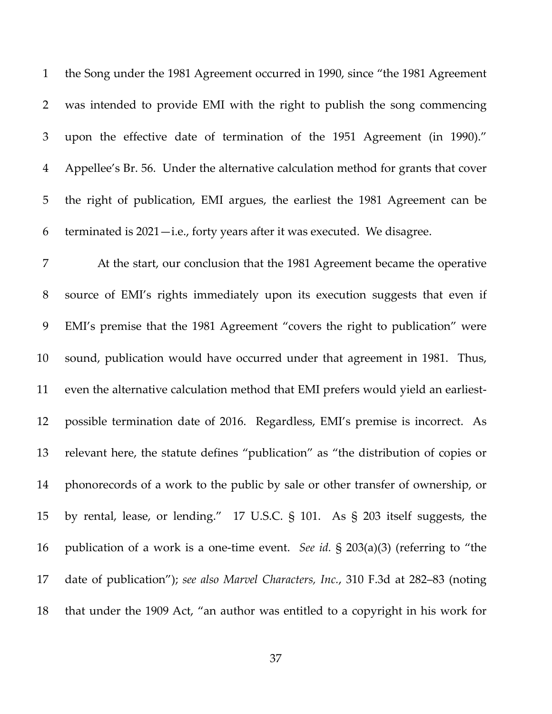the Song under the 1981 Agreement occurred in 1990, since "the 1981 Agreement was intended to provide EMI with the right to publish the song commencing upon the effective date of termination of the 1951 Agreement (in 1990)." Appellee's Br. 56. Under the alternative calculation method for grants that cover the right of publication, EMI argues, the earliest the 1981 Agreement can be terminated is 2021—i.e., forty years after it was executed. We disagree.

 At the start, our conclusion that the 1981 Agreement became the operative source of EMI's rights immediately upon its execution suggests that even if EMI's premise that the 1981 Agreement "covers the right to publication" were sound, publication would have occurred under that agreement in 1981. Thus, 11 even the alternative calculation method that EMI prefers would yield an earliest- possible termination date of 2016. Regardless, EMI's premise is incorrect. As relevant here, the statute defines "publication" as "the distribution of copies or phonorecords of a work to the public by sale or other transfer of ownership, or by rental, lease, or lending." 17 U.S.C. § 101. As § 203 itself suggests, the publication of a work is a one‐time event. *See id.* § 203(a)(3) (referring to "the date of publication"); *see also Marvel Characters, Inc.*, 310 F.3d at 282–83 (noting that under the 1909 Act, "an author was entitled to a copyright in his work for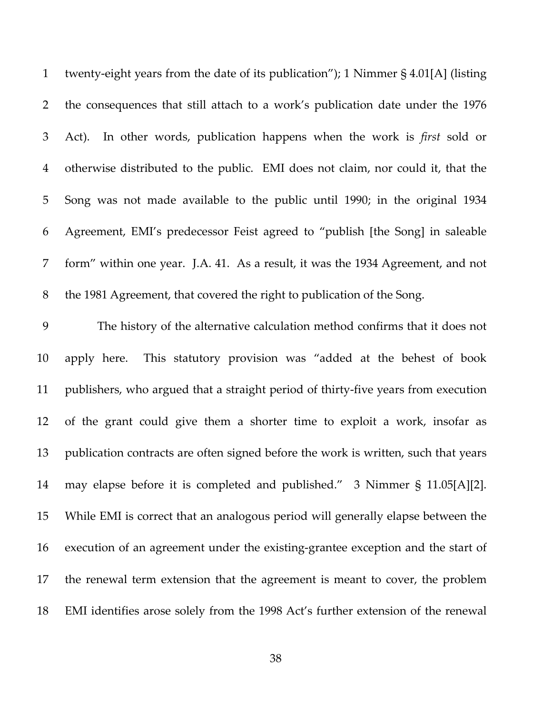twenty‐eight years from the date of its publication"); 1 Nimmer § 4.01[A] (listing the consequences that still attach to a work's publication date under the 1976 Act). In other words, publication happens when the work is *first* sold or otherwise distributed to the public. EMI does not claim, nor could it, that the Song was not made available to the public until 1990; in the original 1934 Agreement, EMI's predecessor Feist agreed to "publish [the Song] in saleable form" within one year. J.A. 41. As a result, it was the 1934 Agreement, and not the 1981 Agreement, that covered the right to publication of the Song.

 The history of the alternative calculation method confirms that it does not apply here. This statutory provision was "added at the behest of book publishers, who argued that a straight period of thirty‐five years from execution of the grant could give them a shorter time to exploit a work, insofar as publication contracts are often signed before the work is written, such that years 14 may elapse before it is completed and published." 3 Nimmer § 11.05[A][2]. While EMI is correct that an analogous period will generally elapse between the execution of an agreement under the existing‐grantee exception and the start of the renewal term extension that the agreement is meant to cover, the problem EMI identifies arose solely from the 1998 Act's further extension of the renewal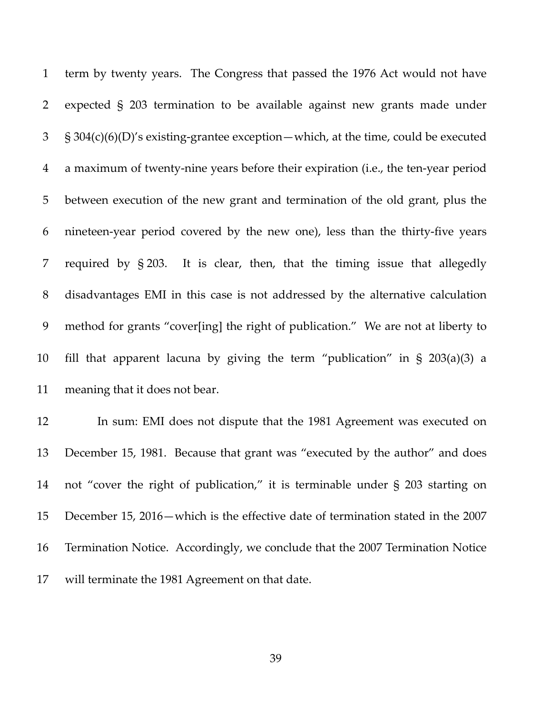term by twenty years. The Congress that passed the 1976 Act would not have expected § 203 termination to be available against new grants made under § 304(c)(6)(D)'s existing‐grantee exception—which, at the time, could be executed a maximum of twenty‐nine years before their expiration (i.e., the ten‐year period between execution of the new grant and termination of the old grant, plus the nineteen‐year period covered by the new one), less than the thirty‐five years required by § 203. It is clear, then, that the timing issue that allegedly disadvantages EMI in this case is not addressed by the alternative calculation method for grants "cover[ing] the right of publication." We are not at liberty to fill that apparent lacuna by giving the term "publication" in § 203(a)(3) a meaning that it does not bear.

 In sum: EMI does not dispute that the 1981 Agreement was executed on December 15, 1981. Because that grant was "executed by the author" and does not "cover the right of publication," it is terminable under § 203 starting on December 15, 2016—which is the effective date of termination stated in the 2007 Termination Notice. Accordingly, we conclude that the 2007 Termination Notice will terminate the 1981 Agreement on that date.